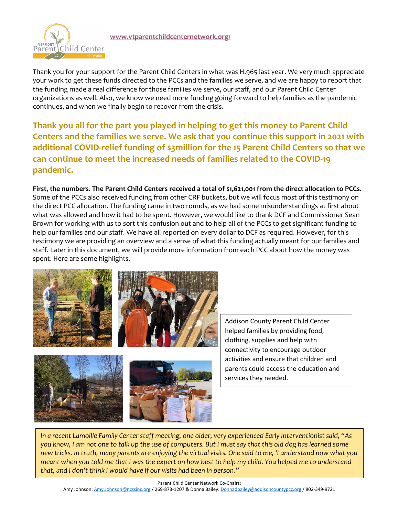

Thank you for your support for the Parent Child Centers in what was H.965 last year. We very much appreciate your work to get these funds directed to the PCCs and the families we serve, and we are happy to report that the funding made a real difference for those families we serve, our staff, and our Parent Child Center organizations as well. Also, we know we need more funding going forward to help families as the pandemic continues, and when we finally begin to recover from the crisis.

**Thank you all for the part you played in helping to get this money to Parent Child Centers and the families we serve. We ask that you continue this support in 2021 with additional COVID-relief funding of \$3million for the 15 Parent Child Centers so that we can continue to meet the increased needs of families related to the COVID-19 pandemic.**

**First, the numbers. The Parent Child Centers received a total of \$1,621,001 from the direct allocation to PCCs.**  Some of the PCCs also received funding from other CRF buckets, but we will focus most of this testimony on the direct PCC allocation. The funding came in two rounds, as we had some misunderstandings at first about what was allowed and how it had to be spent. However, we would like to thank DCF and Commissioner Sean Brown for working with us to sort this confusion out and to help all of the PCCs to get significant funding to help our families and our staff. We have all reported on every dollar to DCF as required. However, for this testimony we are providing an overview and a sense of what this funding actually meant for our families and staff. Later in this document, we will provide more information from each PCC about how the money was spent. Here are some highlights.



Addison County Parent Child Center helped families by providing food, clothing, supplies and help with connectivity to encourage outdoor activities and ensure that children and parents could access the education and services they needed.

*In a recent Lamoille Family Center staff meeting, one older, very experienced Early Interventionist said, "As you know, I am not one to talk up the use of computers. But I must say that this old dog has learned some new tricks. In truth, many parents are enjoying the virtual visits. One said to me, 'I understand now what you meant when you told me that I was the expert on how best to help my child. You helped me to understand that, and I don't think I would have if our visits had been in person."*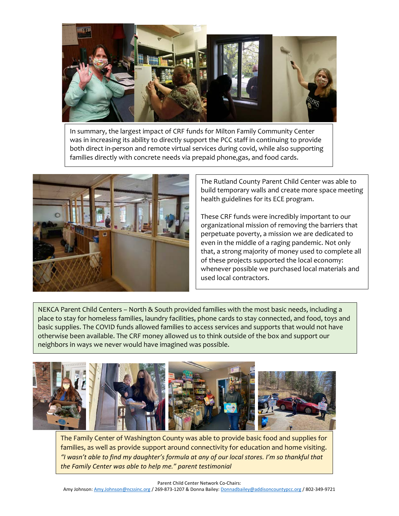

In summary, the largest impact of CRF funds for Milton Family Community Center was in increasing its ability to directly support the PCC staff in continuing to provide both direct in-person and remote virtual services during covid, while also supporting families directly with concrete needs via prepaid phone,gas, and food cards.



The Rutland County Parent Child Center was able to build temporary walls and create more space meeting health guidelines for its ECE program.

These CRF funds were incredibly important to our organizational mission of removing the barriers that perpetuate poverty, a mission we are dedicated to even in the middle of a raging pandemic. Not only that, a strong majority of money used to complete all of these projects supported the local economy: whenever possible we purchased local materials and used local contractors.

NEKCA Parent Child Centers – North & South provided families with the most basic needs, including a place to stay for homeless families, laundry facilities, phone cards to stay connected, and food, toys and basic supplies. The COVID funds allowed families to access services and supports that would not have otherwise been available. The CRF money allowed us to think outside of the box and support our neighbors in ways we never would have imagined was possible.



The Family Center of Washington County was able to provide basic food and supplies for families, as well as provide support around connectivity for education and home visiting. *"I wasn't able to find my daughter's formula at any of our local stores. I'm so thankful that the Family Center was able to help me." parent testimonial*

#### Parent Child Center Network Co-Chairs: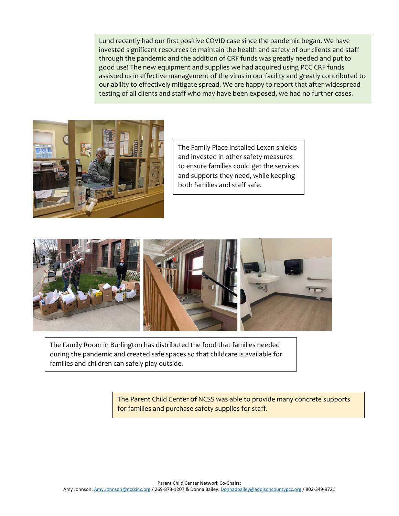Lund recently had our first positive COVID case since the pandemic began. We have invested significant resources to maintain the health and safety of our clients and staff through the pandemic and the addition of CRF funds was greatly needed and put to good use! The new equipment and supplies we had acquired using PCC CRF funds assisted us in effective management of the virus in our facility and greatly contributed to our ability to effectively mitigate spread. We are happy to report that after widespread testing of all clients and staff who may have been exposed, we had no further cases.



The Family Place installed Lexan shields and invested in other safety measures to ensure families could get the services and supports they need, while keeping both families and staff safe.



The Family Room in Burlington has distributed the food that families needed during the pandemic and created safe spaces so that childcare is available for families and children can safely play outside.

> The Parent Child Center of NCSS was able to provide many concrete supports for families and purchase safety supplies for staff.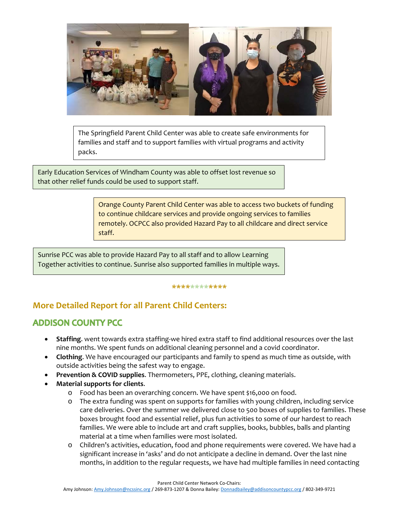

The Springfield Parent Child Center was able to create safe environments for families and staff and to support families with virtual programs and activity packs.

Early Education Services of Windham County was able to offset lost revenue so that other relief funds could be used to support staff.

> Orange County Parent Child Center was able to access two buckets of funding to continue childcare services and provide ongoing services to families remotely. OCPCC also provided Hazard Pay to all childcare and direct service staff.

Sunrise PCC was able to provide Hazard Pay to all staff and to allow Learning Together activities to continue. Sunrise also supported families in multiple ways.

#### **\*\*\*\*\*\*\*\*\*\*\*\***

#### **More Detailed Report for all Parent Child Centers:**

#### **ADDISON COUNTY PCC**

- **Staffing**. went towards extra staffing-we hired extra staff to find additional resources over the last nine months. We spent funds on additional cleaning personnel and a covid coordinator.
- **Clothing**. We have encouraged our participants and family to spend as much time as outside, with outside activities being the safest way to engage.
- **Prevention & COVID supplies**. Thermometers, PPE, clothing, cleaning materials.
- **Material supports for clients**.
	- o Food has been an overarching concern. We have spent \$16,000 on food.
	- o The extra funding was spent on supports for families with young children, including service care deliveries. Over the summer we delivered close to 500 boxes of supplies to families. These boxes brought food and essential relief, plus fun activities to some of our hardest to reach families. We were able to include art and craft supplies, books, bubbles, balls and planting material at a time when families were most isolated.
	- o Children's activities, education, food and phone requirements were covered. We have had a significant increase in 'asks' and do not anticipate a decline in demand. Over the last nine months, in addition to the regular requests, we have had multiple families in need contacting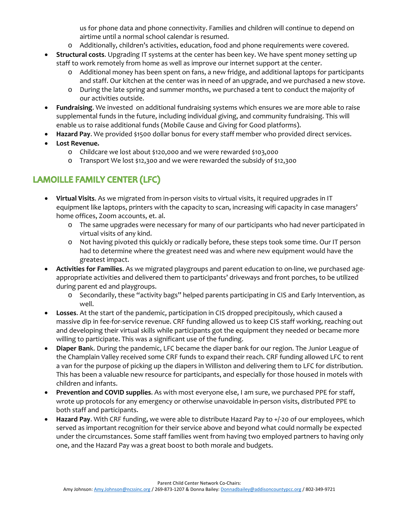us for phone data and phone connectivity. Families and children will continue to depend on airtime until a normal school calendar is resumed.

- o Additionally, children's activities, education, food and phone requirements were covered.
- **Structural costs**. Upgrading IT systems at the center has been key. We have spent money setting up staff to work remotely from home as well as improve our internet support at the center.
	- o Additional money has been spent on fans, a new fridge, and additional laptops for participants and staff. Our kitchen at the center was in need of an upgrade, and we purchased a new stove.
	- o During the late spring and summer months, we purchased a tent to conduct the majority of our activities outside.
- **Fundraising**. We invested on additional fundraising systems which ensures we are more able to raise supplemental funds in the future, including individual giving, and community fundraising. This will enable us to raise additional funds (Mobile Cause and Giving for Good platforms).
- **Hazard Pay**. We provided \$1500 dollar bonus for every staff member who provided direct services.
- **Lost Revenue.**
	- o Childcare we lost about \$120,000 and we were rewarded \$103,000
	- o Transport We lost \$12,300 and we were rewarded the subsidy of \$12,300

# **LAMOILLE FAMILY CENTER (LFC)**

- **Virtual Visits**. As we migrated from in-person visits to virtual visits, it required upgrades in IT equipment like laptops, printers with the capacity to scan, increasing wifi capacity in case managers' home offices, Zoom accounts, et. al.
	- o The same upgrades were necessary for many of our participants who had never participated in virtual visits of any kind.
	- o Not having pivoted this quickly or radically before, these steps took some time. Our IT person had to determine where the greatest need was and where new equipment would have the greatest impact.
- **Activities for Families**. As we migrated playgroups and parent education to on-line, we purchased ageappropriate activities and delivered them to participants' driveways and front porches, to be utilized during parent ed and playgroups.
	- o Secondarily, these "activity bags" helped parents participating in CIS and Early Intervention, as well.
- **Losses**. At the start of the pandemic, participation in CIS dropped precipitously, which caused a massive dip in fee-for-service revenue. CRF funding allowed us to keep CIS staff working, reaching out and developing their virtual skills while participants got the equipment they needed or became more willing to participate. This was a significant use of the funding.
- **Diaper Ban**k. During the pandemic, LFC became the diaper bank for our region. The Junior League of the Champlain Valley received some CRF funds to expand their reach. CRF funding allowed LFC to rent a van for the purpose of picking up the diapers in Williston and delivering them to LFC for distribution. This has been a valuable new resource for participants, and especially for those housed in motels with children and infants.
- **Prevention and COVID supplies**. As with most everyone else, I am sure, we purchased PPE for staff, wrote up protocols for any emergency or otherwise unavoidable in-person visits, distributed PPE to both staff and participants.
- **Hazard Pay**. With CRF funding, we were able to distribute Hazard Pay to +/-20 of our employees, which served as important recognition for their service above and beyond what could normally be expected under the circumstances. Some staff families went from having two employed partners to having only one, and the Hazard Pay was a great boost to both morale and budgets.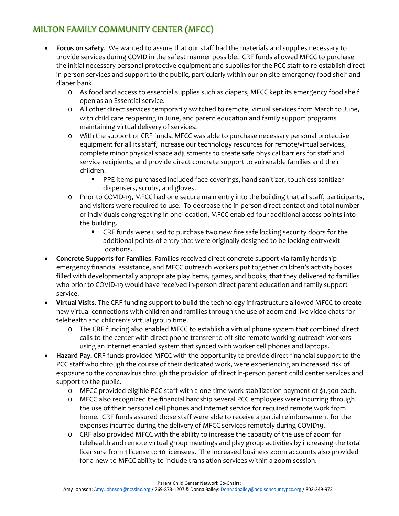# MILTON FAMILY COMMUNITY CENTER (MFCC)

- **Focus on safety**. We wanted to assure that our staff had the materials and supplies necessary to provide services during COVID in the safest manner possible. CRF funds allowed MFCC to purchase the initial necessary personal protective equipment and supplies for the PCC staff to re-establish direct in-person services and support to the public, particularly within our on-site emergency food shelf and diaper bank.
	- o As food and access to essential supplies such as diapers, MFCC kept its emergency food shelf open as an Essential service.
	- o All other direct services temporarily switched to remote, virtual services from March to June, with child care reopening in June, and parent education and family support programs maintaining virtual delivery of services.
	- o With the support of CRF funds, MFCC was able to purchase necessary personal protective equipment for all its staff, increase our technology resources for remote/virtual services, complete minor physical space adjustments to create safe physical barriers for staff and service recipients, and provide direct concrete support to vulnerable families and their children.
		- **PPE items purchased included face coverings, hand sanitizer, touchless sanitizer** dispensers, scrubs, and gloves.
	- o Prior to COVID-19, MFCC had one secure main entry into the building that all staff, participants, and visitors were required to use. To decrease the in-person direct contact and total number of individuals congregating in one location, MFCC enabled four additional access points into the building.
		- CRF funds were used to purchase two new fire safe locking security doors for the additional points of entry that were originally designed to be locking entry/exit locations.
- **Concrete Supports for Families**. Families received direct concrete support via family hardship emergency financial assistance, and MFCC outreach workers put together children's activity boxes filled with developmentally appropriate play items, games, and books, that they delivered to families who prior to COVID-19 would have received in-person direct parent education and family support service.
- **Virtual Visits**. The CRF funding support to build the technology infrastructure allowed MFCC to create new virtual connections with children and families through the use of zoom and live video chats for telehealth and children's virtual group time.
	- o The CRF funding also enabled MFCC to establish a virtual phone system that combined direct calls to the center with direct phone transfer to off-site remote working outreach workers using an internet enabled system that synced with worker cell phones and laptops.
- **Hazard Pay.** CRF funds provided MFCC with the opportunity to provide direct financial support to the PCC staff who through the course of their dedicated work, were experiencing an increased risk of exposure to the coronavirus through the provision of direct in-person parent child center services and support to the public.
	- o MFCC provided eligible PCC staff with a one-time work stabilization payment of \$1,500 each.
	- o MFCC also recognized the financial hardship several PCC employees were incurring through the use of their personal cell phones and internet service for required remote work from home. CRF funds assured those staff were able to receive a partial reimbursement for the expenses incurred during the delivery of MFCC services remotely during COVID19.
	- o CRF also provided MFCC with the ability to increase the capacity of the use of zoom for telehealth and remote virtual group meetings and play group activities by increasing the total licensure from 1 license to 10 licensees. The increased business zoom accounts also provided for a new-to-MFCC ability to include translation services within a zoom session.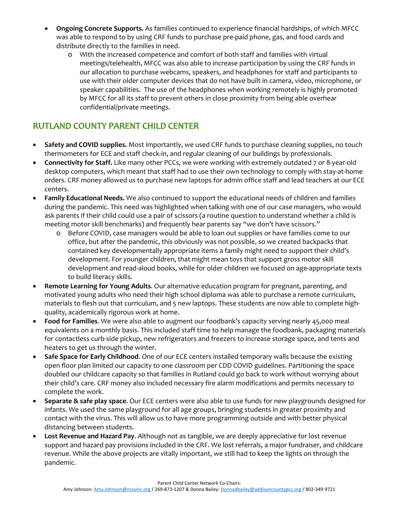- **Ongoing Concrete Supports.** As families continued to experience financial hardships, of which MFCC was able to respond to by using CRF funds to purchase pre-paid phone, gas, and food cards and distribute directly to the families in need.
	- With the increased competence and comfort of both staff and families with virtual meetings/telehealth, MFCC was also able to increase participation by using the CRF funds in our allocation to purchase webcams, speakers, and headphones for staff and participants to use with their older computer devices that do not have built in camera, video, microphone, or speaker capabilities. The use of the headphones when working remotely is highly promoted by MFCC for all its staff to prevent others in close proximity from being able overhear confidential/private meetings.

# **RUTLAND COUNTY PARENT CHILD CENTER**

- **Safety and COVID supplies.** Most importantly, we used CRF funds to purchase cleaning supplies, no touch thermometers for ECE and staff check-in, and regular cleaning of our buildings by professionals.
- **Connectivity for Staff.** Like many other PCCs, we were working with extremely outdated 7 or 8-year-old desktop computers, which meant that staff had to use their own technology to comply with stay-at-home orders. CRF money allowed us to purchase new laptops for admin office staff and lead teachers at our ECE centers.
- **Family Educational Needs.** We also continued to support the educational needs of children and families during the pandemic. This need was highlighted when talking with one of our case managers, who would ask parents if their child could use a pair of scissors (a routine question to understand whether a child is meeting motor skill benchmarks) and frequently hear parents say "we don't have scissors."
	- o Before COVID, case managers would be able to loan out supplies or have families come to our office, but after the pandemic, this obviously was not possible, so we created backpacks that contained key developmentally appropriate items a family might need to support their child's development. For younger children, that might mean toys that support gross motor skill development and read-aloud books, while for older children we focused on age-appropriate texts to build literacy skills.
- **Remote Learning for Young Adults**. Our alternative education program for pregnant, parenting, and motivated young adults who need their high school diploma was able to purchase a remote curriculum, materials to flesh out that curriculum, and 5 new laptops. These students are now able to complete highquality, academically rigorous work at home.
- **Food for Families**. We were also able to augment our foodbank's capacity serving nearly 45,000 meal equivalents on a monthly basis. This included staff time to help manage the foodbank, packaging materials for contactless curb-side pickup, new refrigerators and freezers to increase storage space, and tents and heaters to get us through the winter.
- **Safe Space for Early Childhood**. One of our ECE centers installed temporary walls because the existing open floor plan limited our capacity to one classroom per CDD COVID guidelines. Partitioning the space doubled our childcare capacity so that families in Rutland could go back to work without worrying about their child's care. CRF money also included necessary fire alarm modifications and permits necessary to complete the work.
- **Separate & safe play space**. Our ECE centers were also able to use funds for new playgrounds designed for infants. We used the same playground for all age groups, bringing students in greater proximity and contact with the virus. This will allow us to have more programming outside and with better physical distancing between students.
- **Lost Revenue and Hazard Pay**. Although not as tangible, we are deeply appreciative for lost revenue support and hazard pay provisions included in the CRF. We lost referrals, a major fundraiser, and childcare revenue. While the above projects are vitally important, we still had to keep the lights on through the pandemic.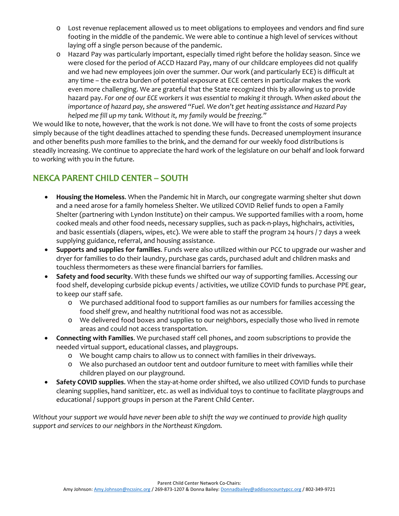- o Lost revenue replacement allowed us to meet obligations to employees and vendors and find sure footing in the middle of the pandemic. We were able to continue a high level of services without laying off a single person because of the pandemic.
- o Hazard Pay was particularly important, especially timed right before the holiday season. Since we were closed for the period of ACCD Hazard Pay, many of our childcare employees did not qualify and we had new employees join over the summer. Our work (and particularly ECE) is difficult at any time – the extra burden of potential exposure at ECE centers in particular makes the work even more challenging. We are grateful that the State recognized this by allowing us to provide hazard pay. *For one of our ECE workers it was essential to making it through. When asked about the importance of hazard pay, she answered "Fuel. We don't get heating assistance and Hazard Pay helped me fill up my tank. Without it, my family would be freezing."*

We would like to note, however, that the work is not done. We will have to front the costs of some projects simply because of the tight deadlines attached to spending these funds. Decreased unemployment insurance and other benefits push more families to the brink, and the demand for our weekly food distributions is steadily increasing. We continue to appreciate the hard work of the legislature on our behalf and look forward to working with you in the future.

### **NEKCA PARENT CHILD CENTER - SOUTH**

- **Housing the Homeless**. When the Pandemic hit in March, our congregate warming shelter shut down and a need arose for a family homeless Shelter. We utilized COVID Relief funds to open a Family Shelter (partnering with Lyndon Institute) on their campus. We supported families with a room, home cooked meals and other food needs, necessary supplies, such as pack-n-plays, highchairs, activities, and basic essentials (diapers, wipes, etc). We were able to staff the program 24 hours / 7 days a week supplying guidance, referral, and housing assistance.
- **Supports and supplies for families**. Funds were also utilized within our PCC to upgrade our washer and dryer for families to do their laundry, purchase gas cards, purchased adult and children masks and touchless thermometers as these were financial barriers for families.
- **Safety and food security**. With these funds we shifted our way of supporting families. Accessing our food shelf, developing curbside pickup events / activities, we utilize COVID funds to purchase PPE gear, to keep our staff safe.
	- o We purchased additional food to support families as our numbers for families accessing the food shelf grew, and healthy nutritional food was not as accessible.
	- o We delivered food boxes and supplies to our neighbors, especially those who lived in remote areas and could not access transportation.
- **Connecting with Families**. We purchased staff cell phones, and zoom subscriptions to provide the needed virtual support, educational classes, and playgroups.
	- o We bought camp chairs to allow us to connect with families in their driveways.
	- o We also purchased an outdoor tent and outdoor furniture to meet with families while their children played on our playground.
- **Safety COVID supplies**. When the stay-at-home order shifted, we also utilized COVID funds to purchase cleaning supplies, hand sanitizer, etc. as well as individual toys to continue to facilitate playgroups and educational / support groups in person at the Parent Child Center.

*Without your support we would have never been able to shift the way we continued to provide high quality support and services to our neighbors in the Northeast Kingdom.*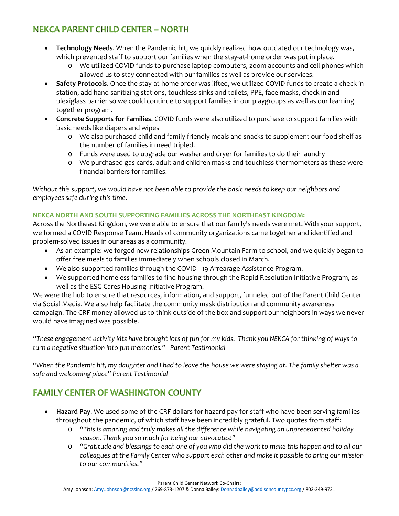# **NEKCA PARENT CHILD CENTER - NORTH**

- **Technology Needs**. When the Pandemic hit, we quickly realized how outdated our technology was, which prevented staff to support our families when the stay-at-home order was put in place.
	- o We utilized COVID funds to purchase laptop computers, zoom accounts and cell phones which allowed us to stay connected with our families as well as provide our services.
- **Safety Protocols**. Once the stay-at-home order was lifted, we utilized COVID funds to create a check in station, add hand sanitizing stations, touchless sinks and toilets, PPE, face masks, check in and plexiglass barrier so we could continue to support families in our playgroups as well as our learning together program.
- **Concrete Supports for Families**. COVID funds were also utilized to purchase to support families with basic needs like diapers and wipes
	- o We also purchased child and family friendly meals and snacks to supplement our food shelf as the number of families in need tripled.
	- o Funds were used to upgrade our washer and dryer for families to do their laundry
	- o We purchased gas cards, adult and children masks and touchless thermometers as these were financial barriers for families.

*Without this support, we would have not been able to provide the basic needs to keep our neighbors and employees safe during this time.*

#### **NEKCA NORTH AND SOUTH SUPPORTING FAMILIES ACROSS THE NORTHEAST KINGDOM:**

Across the Northeast Kingdom, we were able to ensure that our family's needs were met. With your support, we formed a COVID Response Team. Heads of community organizations came together and identified and problem-solved issues in our areas as a community.

- As an example: we forged new relationships Green Mountain Farm to school, and we quickly began to offer free meals to families immediately when schools closed in March.
- We also supported families through the COVID –19 Arrearage Assistance Program.
- We supported homeless families to find housing through the Rapid Resolution Initiative Program, as well as the ESG Cares Housing Initiative Program.

We were the hub to ensure that resources, information, and support, funneled out of the Parent Child Center via Social Media. We also help facilitate the community mask distribution and community awareness campaign. The CRF money allowed us to think outside of the box and support our neighbors in ways we never would have imagined was possible.

*"These engagement activity kits have brought lots of fun for my kids. Thank you NEKCA for thinking of ways to turn a negative situation into fun memories." - Parent Testimonial* 

*"When the Pandemic hit, my daughter and I had to leave the house we were staying at. The family shelter was a safe and welcoming place" Parent Testimonial*

# **FAMILY CENTER OF WASHINGTON COUNTY**

- **Hazard Pay**. We used some of the CRF dollars for hazard pay for staff who have been serving families throughout the pandemic, of which staff have been incredibly grateful. Two quotes from staff:
	- o *"This is amazing and truly makes all the difference while navigating an unprecedented holiday season. Thank you so much for being our advocates!"*
	- o *"Gratitude and blessings to each one of you who did the work to make this happen and to all our colleagues at the Family Center who support each other and make it possible to bring our mission to our communities."*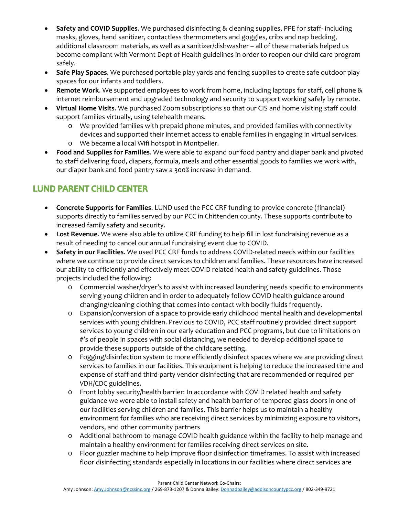- **Safety and COVID Supplies**. We purchased disinfecting & cleaning supplies, PPE for staff- including masks, gloves, hand sanitizer, contactless thermometers and goggles, cribs and nap bedding, additional classroom materials, as well as a sanitizer/dishwasher – all of these materials helped us become compliant with Vermont Dept of Health guidelines in order to reopen our child care program safely.
- **Safe Play Spaces**. We purchased portable play yards and fencing supplies to create safe outdoor play spaces for our infants and toddlers.
- **Remote Work**. We supported employees to work from home, including laptops for staff, cell phone & internet reimbursement and upgraded technology and security to support working safely by remote.
- **Virtual Home Visits**. We purchased Zoom subscriptions so that our CIS and home visiting staff could support families virtually, using telehealth means.
	- o We provided families with prepaid phone minutes, and provided families with connectivity devices and supported their internet access to enable families in engaging in virtual services.
	- o We became a local Wifi hotspot in Montpelier.
- **Food and Supplies for Families**. We were able to expand our food pantry and diaper bank and pivoted to staff delivering food, diapers, formula, meals and other essential goods to families we work with, our diaper bank and food pantry saw a 300% increase in demand.

# **LUND PARENT CHILD CENTER**

- **Concrete Supports for Families**. LUND used the PCC CRF funding to provide concrete (financial) supports directly to families served by our PCC in Chittenden county. These supports contribute to increased family safety and security.
- **Lost Revenue**. We were also able to utilize CRF funding to help fill in lost fundraising revenue as a result of needing to cancel our annual fundraising event due to COVID.
- **Safety in our Facilities**. We used PCC CRF funds to address COVID-related needs within our facilities where we continue to provide direct services to children and families. These resources have increased our ability to efficiently and effectively meet COVID related health and safety guidelines. Those projects included the following:
	- o Commercial washer/dryer's to assist with increased laundering needs specific to environments serving young children and in order to adequately follow COVID health guidance around changing/cleaning clothing that comes into contact with bodily fluids frequently.
	- o Expansion/conversion of a space to provide early childhood mental health and developmental services with young children. Previous to COVID, PCC staff routinely provided direct support services to young children in our early education and PCC programs, but due to limitations on #'s of people in spaces with social distancing, we needed to develop additional space to provide these supports outside of the childcare setting.
	- o Fogging/disinfection system to more efficiently disinfect spaces where we are providing direct services to families in our facilities. This equipment is helping to reduce the increased time and expense of staff and third-party vendor disinfecting that are recommended or required per VDH/CDC guidelines.
	- o Front lobby security/health barrier: In accordance with COVID related health and safety guidance we were able to install safety and health barrier of tempered glass doors in one of our facilities serving children and families. This barrier helps us to maintain a healthy environment for families who are receiving direct services by minimizing exposure to visitors, vendors, and other community partners
	- o Additional bathroom to manage COVID health guidance within the facility to help manage and maintain a healthy environment for families receiving direct services on site.
	- o Floor guzzler machine to help improve floor disinfection timeframes. To assist with increased floor disinfecting standards especially in locations in our facilities where direct services are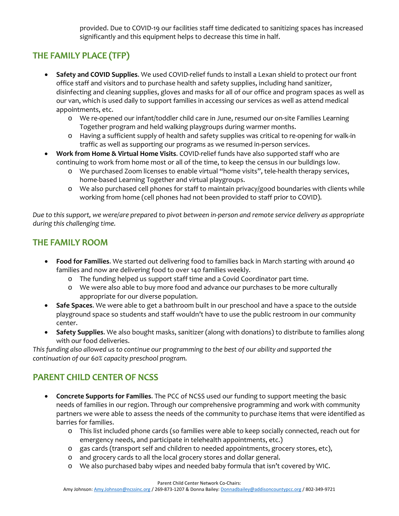provided. Due to COVID-19 our facilities staff time dedicated to sanitizing spaces has increased significantly and this equipment helps to decrease this time in half.

# THE FAMILY PLACE (TFP)

- **Safety and COVID Supplies**. We used COVID-relief funds to install a Lexan shield to protect our front office staff and visitors and to purchase health and safety supplies, including hand sanitizer, disinfecting and cleaning supplies, gloves and masks for all of our office and program spaces as well as our van, which is used daily to support families in accessing our services as well as attend medical appointments, etc.
	- o We re-opened our infant/toddler child care in June, resumed our on-site Families Learning Together program and held walking playgroups during warmer months.
	- o Having a sufficient supply of health and safety supplies was critical to re-opening for walk-in traffic as well as supporting our programs as we resumed in-person services.
- **Work from Home & Virtual Home Visits**. COVID-relief funds have also supported staff who are continuing to work from home most or all of the time, to keep the census in our buildings low.
	- o We purchased Zoom licenses to enable virtual "home visits", tele-health therapy services, home-based Learning Together and virtual playgroups.
	- o We also purchased cell phones for staff to maintain privacy/good boundaries with clients while working from home (cell phones had not been provided to staff prior to COVID).

*Due to this support, we were/are prepared to pivot between in-person and remote service delivery as appropriate during this challenging time.* 

# **THE FAMILY ROOM**

- **Food for Families**. We started out delivering food to families back in March starting with around 40 families and now are delivering food to over 140 families weekly.
	- o The funding helped us support staff time and a Covid Coordinator part time.
	- o We were also able to buy more food and advance our purchases to be more culturally appropriate for our diverse population.
- **Safe Spaces**. We were able to get a bathroom built in our preschool and have a space to the outside playground space so students and staff wouldn't have to use the public restroom in our community center.
- **Safety Supplies**. We also bought masks, sanitizer (along with donations) to distribute to families along with our food deliveries.

*This funding also allowed us to continue our programming to the best of our ability and supported the continuation of our 60% capacity preschool program.*

### **PARENT CHILD CENTER OF NCSS**

- **Concrete Supports for Families**. The PCC of NCSS used our funding to support meeting the basic needs of families in our region. Through our comprehensive programming and work with community partners we were able to assess the needs of the community to purchase items that were identified as barries for families.
	- o This list included phone cards (so families were able to keep socially connected, reach out for emergency needs, and participate in telehealth appointments, etc.)
	- o gas cards (transport self and children to needed appointments, grocery stores, etc),
	- o and grocery cards to all the local grocery stores and dollar general.
	- o We also purchased baby wipes and needed baby formula that isn't covered by WIC.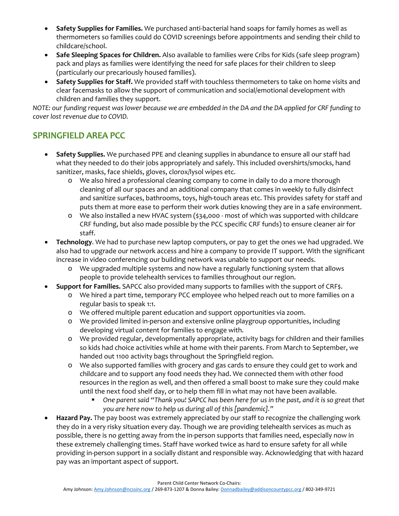- **Safety Supplies for Families.** We purchased anti-bacterial hand soaps for family homes as well as thermometers so families could do COVID screenings before appointments and sending their child to childcare/school.
- **Safe Sleeping Spaces for Children.** Also available to families were Cribs for Kids (safe sleep program) pack and plays as families were identifying the need for safe places for their children to sleep (particularly our precariously housed families).
- **Safety Supplies for Staff.** We provided staff with touchless thermometers to take on home visits and clear facemasks to allow the support of communication and social/emotional development with children and families they support.

*NOTE: our funding request was lower because we are embedded in the DA and the DA applied for CRF funding to cover lost revenue due to COVID.*

### **SPRINGFIELD AREA PCC**

- **Safety Supplies.** We purchased PPE and cleaning supplies in abundance to ensure all our staff had what they needed to do their jobs appropriately and safely. This included overshirts/smocks, hand sanitizer, masks, face shields, gloves, clorox/lysol wipes etc.
	- o We also hired a professional cleaning company to come in daily to do a more thorough cleaning of all our spaces and an additional company that comes in weekly to fully disinfect and sanitize surfaces, bathrooms, toys, high-touch areas etc. This provides safety for staff and puts them at more ease to perform their work duties knowing they are in a safe environment.
	- o We also installed a new HVAC system (\$34,000 most of which was supported with childcare CRF funding, but also made possible by the PCC specific CRF funds) to ensure cleaner air for staff.
- **Technology**. We had to purchase new laptop computers, or pay to get the ones we had upgraded. We also had to upgrade our network access and hire a company to provide IT support. With the significant increase in video conferencing our building network was unable to support our needs.
	- o We upgraded multiple systems and now have a regularly functioning system that allows people to provide telehealth services to families throughout our region.
- **Support for Families.** SAPCC also provided many supports to families with the support of CRF\$.
	- o We hired a part time, temporary PCC employee who helped reach out to more families on a regular basis to speak 1:1.
	- o We offered multiple parent education and support opportunities via zoom.
	- o We provided limited in-person and extensive online playgroup opportunities, including developing virtual content for families to engage with.
	- o We provided regular, developmentally appropriate, activity bags for children and their families so kids had choice activities while at home with their parents. From March to September, we handed out 1100 activity bags throughout the Springfield region.
	- o We also supported families with grocery and gas cards to ensure they could get to work and childcare and to support any food needs they had. We connected them with other food resources in the region as well, and then offered a small boost to make sure they could make until the next food shelf day, or to help them fill in what may not have been available.
		- **•** One parent said "Thank you! SAPCC has been here for us in the past, and it is so great that *you are here now to help us during all of this [pandemic]."*
- **Hazard Pay.** The pay boost was extremely appreciated by our staff to recognize the challenging work they do in a very risky situation every day. Though we are providing telehealth services as much as possible, there is no getting away from the in-person supports that families need, especially now in these extremely challenging times. Staff have worked twice as hard to ensure safety for all while providing in-person support in a socially distant and responsible way. Acknowledging that with hazard pay was an important aspect of support.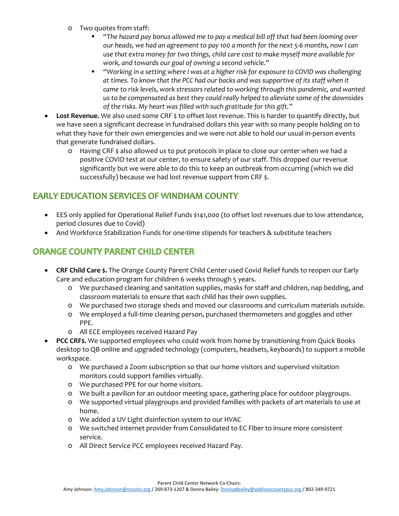- o Two quotes from staff:
	- *"The hazard pay bonus allowed me to pay a medical bill off that had been looming over our heads, we had an agreement to pay 100 a month for the next 5-6 months, now I can use that extra money for two things, child care cost to make myself more available for work, and towards our goal of owning a second vehicle."*
	- *"Working in a setting where I was at a higher risk for exposure to COVID was challenging at times. To know that the PCC had our backs and was supportive of its staff when it came to risk levels, work stressors related to working through this pandemic, and wanted us to be compensated as best they could really helped to alleviate some of the downsides of the risks. My heart was filled with such gratitude for this gift."*
- **Lost Revenue.** We also used some CRF \$ to offset lost revenue. This is harder to quantify directly, but we have seen a significant decrease in fundraised dollars this year with so many people holding on to what they have for their own emergencies and we were not able to hold our usual in-person events that generate fundraised dollars.
	- o Having CRF \$ also allowed us to put protocols in place to close our center when we had a positive COVID test at our center, to ensure safety of our staff. This dropped our revenue significantly but we were able to do this to keep an outbreak from occurring (which we did successfully) because we had lost revenue support from CRF \$.

# **EARLY EDUCATION SERVICES OF WINDHAM COUNTY**

- EES only applied for Operational Relief Funds \$141,000 (to offset lost revenues due to low attendance, period closures due to Covid)
- And Workforce Stabilization Funds for one-time stipends for teachers & substitute teachers

# **ORANGE COUNTY PARENT CHILD CENTER**

- **CRF Child Care \$.** The Orange County Parent Child Center used Covid Relief funds to reopen our Early Care and education program for children 6 weeks through 5 years.
	- o We purchased cleaning and sanitation supplies, masks for staff and children, nap bedding, and classroom materials to ensure that each child has their own supplies.
	- o We purchased two storage sheds and moved our classrooms and curriculum materials outside.
	- o We employed a full-time cleaning person, purchased thermometers and goggles and other PPE.
	- o All ECE employees received Hazard Pay
- **PCC CRF\$.** We supported employees who could work from home by transitioning from Quick Books desktop to QB online and upgraded technology (computers, headsets, keyboards) to support a mobile workspace.
	- o We purchased a Zoom subscription so that our home visitors and supervised visitation monitors could support families virtually.
	- o We purchased PPE for our home visitors.
	- o We built a pavilion for an outdoor meeting space, gathering place for outdoor playgroups.
	- o We supported virtual playgroups and provided families with packets of art materials to use at home.
	- o We added a UV Light disinfection system to our HVAC
	- o We switched internet provider from Consolidated to EC Fiber to insure more consistent service.
	- o All Direct Service PCC employees received Hazard Pay.